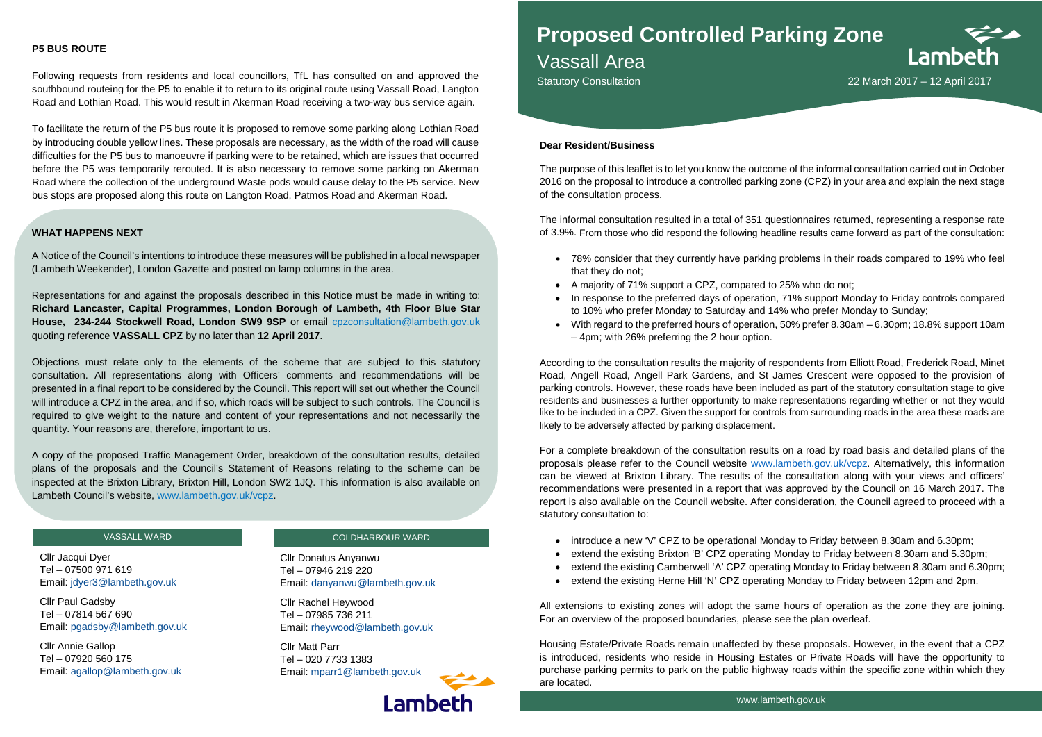## **P5 BUS ROUTE**

Following requests from residents and local councillors, TfL has consulted on and approved the southbound routeing for the P5 to enable it to return to its original route using Vassall Road, Langton Road and Lothian Road. This would result in Akerman Road receiving a two-way bus service again.

To facilitate the return of the P5 bus route it is proposed to remove some parking along Lothian Road by introducing double yellow lines. These proposals are necessary, as the width of the road will cause difficulties for the P5 bus to manoeuvre if parking were to be retained, which are issues that occurred before the P5 was temporarily rerouted. It is also necessary to remove some parking on Akerman Road where the collection of the underground Waste pods would cause delay to the P5 service. New bus stops are proposed along this route on Langton Road, Patmos Road and Akerman Road.

#### **Dear Resident/Business**

The purpose of this leaflet is to let you know the outcome of the informal consultation carried out in October 2016 on the proposal to introduce a controlled parking zone (CPZ) in your area and explain the next stage of the consultation process.

The informal consultation resulted in a total of 351 questionnaires returned, representing a response rate of 3.9%. From those who did respond the following headline results came forward as part of the consultation:

• 78% consider that they currently have parking problems in their roads compared to 19% who feel

Lambeth

• In response to the preferred days of operation, 71% support Monday to Friday controls compared

- that they do not;
- A majority of 71% support a CPZ, compared to 25% who do not;
- to 10% who prefer Monday to Saturday and 14% who prefer Monday to Sunday;
- 4pm; with 26% preferring the 2 hour option.

• With regard to the preferred hours of operation, 50% prefer 8.30am – 6.30pm; 18.8% support 10am

According to the consultation results the majority of respondents from Elliott Road, Frederick Road, Minet Road, Angell Road, Angell Park Gardens, and St James Crescent were opposed to the provision of parking controls. However, these roads have been included as part of the statutory consultation stage to give residents and businesses a further opportunity to make representations regarding whether or not they would like to be included in a CPZ. Given the support for controls from surrounding roads in the area these roads are likely to be adversely affected by parking displacement.

For a complete breakdown of the consultation results on a road by road basis and detailed plans of the proposals please refer to the Council website [www.lambeth.gov.uk/vcpz.](http://www.lambeth.gov.uk/vcpz) Alternatively, this information can be viewed at Brixton Library. The results of the consultation along with your views and officers' recommendations were presented in a report that was approved by the Council on 16 March 2017. The report is also available on the Council website. After consideration, the Council agreed to proceed with a statutory consultation to:

- introduce a new 'V' CPZ to be operational Monday to Friday between 8.30am and 6.30pm;
- 
- 
- 

• extend the existing Brixton 'B' CPZ operating Monday to Friday between 8.30am and 5.30pm; • extend the existing Camberwell 'A' CPZ operating Monday to Friday between 8.30am and 6.30pm; • extend the existing Herne Hill 'N' CPZ operating Monday to Friday between 12pm and 2pm.

All extensions to existing zones will adopt the same hours of operation as the zone they are joining. For an overview of the proposed boundaries, please see the plan overleaf.

Housing Estate/Private Roads remain unaffected by these proposals. However, in the event that a CPZ is introduced, residents who reside in Housing Estates or Private Roads will have the opportunity to purchase parking permits to park on the public highway roads within the specific zone within which they are located.



### VASSALL WARD

Cllr Jacqui Dyer Tel – 07500 971 619 Email: [jdyer3@lambeth.gov.uk](mailto:jdyer3@lambeth.gov.uk)

Cllr Paul Gadsby Tel – 07814 567 690 Email: [pgadsby@lambeth.gov.uk](mailto:pgadsby@lambeth.gov.uk)

Cllr Annie Gallop Tel – 07920 560 175 Email: [agallop@lambeth.gov.uk](mailto:agallop@lambeth.gov.uk)

### COLDHARBOUR WARD

Cllr Donatus Anyanwu Tel – 07946 219 220 Email: [danyanwu@lambeth.gov.uk](mailto:danyanwu@lambeth.gov.uk)

Cllr Rachel Heywood Tel – 07985 736 211 Email: [rheywood@lambeth.gov.uk](mailto:rheywood@lambeth.gov.uk)

Cllr Matt Parr Tel – 020 7733 1383 Email: [mparr1@lambeth.gov.uk](mailto:mparr1@lambeth.gov.uk)



# **Proposed Controlled Parking Zone**

Vassall Area

Statutory Consultation 2017 - 12 April 2017

#### **WHAT HAPPENS NEXT**

A Notice of the Council's intentions to introduce these measures will be published in a local newspaper (Lambeth Weekender), London Gazette and posted on lamp columns in the area.

Representations for and against the proposals described in this Notice must be made in writing to: **Richard Lancaster, Capital Programmes, London Borough of Lambeth, 4th Floor Blue Star House, 234-244 Stockwell Road, London SW9 9SP** or email cpzconsultation@lambeth.gov.uk quoting reference **VASSALL CPZ** by no later than **12 April 2017**.

Objections must relate only to the elements of the scheme that are subject to this statutory consultation. All representations along with Officers' comments and recommendations will be presented in a final report to be considered by the Council. This report will set out whether the Council will introduce a CPZ in the area, and if so, which roads will be subject to such controls. The Council is required to give weight to the nature and content of your representations and not necessarily the quantity. Your reasons are, therefore, important to us.

A copy of the proposed Traffic Management Order, breakdown of the consultation results, detailed plans of the proposals and the Council's Statement of Reasons relating to the scheme can be inspected at the Brixton Library, Brixton Hill, London SW2 1JQ. This information is also available on Lambeth Council's website, www.lambeth.gov.uk/vcpz.